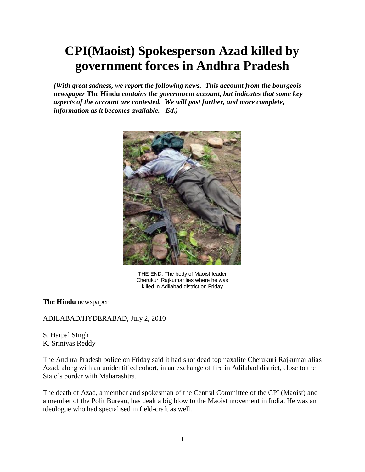## **CPI(Maoist) Spokesperson Azad killed by government forces in Andhra Pradesh**

*(With great sadness, we report the following news. This account from the bourgeois newspaper* **The Hindu** *contains the government account, but indicates that some key aspects of the account are contested. We will post further, and more complete, information as it becomes available. –Ed.)*



THE END: The body of Maoist leader Cherukuri Rajkumar lies where he was killed in Adilabad district on Friday

**The Hindu** newspaper

## ADILABAD/HYDERABAD, July 2, 2010

S. Harpal SIngh K. Srinivas Reddy

The Andhra Pradesh police on Friday said it had shot dead top naxalite Cherukuri Rajkumar alias Azad, along with an unidentified cohort, in an exchange of fire in Adilabad district, close to the State's border with Maharashtra.

The death of Azad, a member and spokesman of the Central Committee of the CPI (Maoist) and a member of the Polit Bureau, has dealt a big blow to the Maoist movement in India. He was an ideologue who had specialised in field-craft as well.